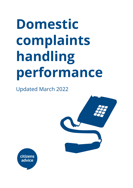# **Domestic complaints handling performance**

Updated March 2022



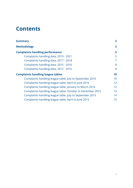# **Contents**

<span id="page-1-0"></span>

| <b>Summary</b>                                             | $\overline{2}$ |
|------------------------------------------------------------|----------------|
| <b>Methodology</b>                                         | $\overline{2}$ |
| <b>Complaints handling performance</b>                     | 5              |
| Complaints handling data, 2019 - 2021                      | 5              |
| Complaints handling data, 2017 - 2018                      | 7              |
| Complaints handling data, 2015 - 2016                      | 8              |
| Complaints handling data, 2012 - 2015                      | 8              |
| <b>Complaints handling league tables</b>                   | 10             |
| Complaints handling league table, July to September 2016   | 10             |
| Complaints handling league table, April to June 2016       | 12             |
| Complaints handling league table, January to March 2016    | 12             |
| Complaints handling league table, October to December 2015 | 13             |
| Complaints handling league table, July to September 2015   | 14             |
| Complaints handling league table, April to June 2015       | 15             |
|                                                            |                |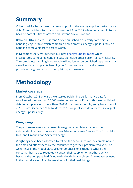# **Summary**

Citizens Advice has a statutory remit to publish the energy supplier performance data. Citizens Advice took over this role on 1 April 2014 when Consumer Futures became part of Citizens Advice and Citizens Advice Scotland.

Between 2014 and 2016, Citizens Advice published a quarterly complaints handling league table which compared how domestic energy suppliers rank on handling complaints from best to worst.

In December 2016 we launched our new [energy supplier](https://www.citizensadvice.org.uk/about-us/how-citizens-advice-works/citizens-advice-consumer-work/supplier-performance/energy-supplier-performance/compare-domestic-energy-suppliers-customer-service/) rating which incorporates complaints handling data alongside other performance measures. The complaints handling league table will no longer be published separately, but we will update complaints handling performance data in this document to provide an ongoing record of complaints performance.

# <span id="page-2-0"></span>**Methodology**

## **Market coverage**

From October 2018 onwards, we started publishing performance data for suppliers with more than 25,000 customer accounts. Prior to this, we published data for suppliers with more than 50,000 customer accounts, going back to April 2015. From December 2012 to March 2015 we published data for the six largest energy suppliers only.

## **Weightings**

The performance model represents weighted complaints made to the independent bodies, who are Citizens Advice Consumer Service, The Extra Help Unit, and Ombudsman Services:Energy.

Weightings have been allocated to reflect the seriousness of the complaint and the time and effort spent by the consumer to get their problem resolved. The weightings in the model place greater emphasis on situations where the consumer has had to repeatedly contact their supplier, or another agency, because the company had failed to deal with their problem. The measures used in the model are outlined below along with their weightings.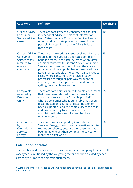| <b>Case type</b>                                                                   | <b>Definition</b>                                                                                                                                                                                                                                                                                                                                                                                                                                                                                                                          | <b>Weighting</b> |
|------------------------------------------------------------------------------------|--------------------------------------------------------------------------------------------------------------------------------------------------------------------------------------------------------------------------------------------------------------------------------------------------------------------------------------------------------------------------------------------------------------------------------------------------------------------------------------------------------------------------------------------|------------------|
| Citizens Advice<br>Consumer<br>Service advice<br>cases                             | These are cases where a consumer has sought<br>independent advice or help (not information)<br>from Citizens Advice Consumer Service. Please<br>note that due to data protection issues it is not<br>possible for suppliers to have full visibility of<br>these cases.                                                                                                                                                                                                                                                                     | 10               |
| Citizens Advice<br>Consumer<br>Service cases<br>referred to<br>energy<br>companies | These are more serious cases received which are<br>referred to the supplier's dedicated complaint<br>handling team. These include cases where after<br>an initial contact with Citizens Advice Consumer<br>Service the consumer has followed the advice<br>provided and the supplier has not resolved their<br>issue in a reasonable time period. It also includes<br>cases where consumers who have already<br>progressed through or part-way through the<br>company's complaint procedures and are not<br>getting reasonable resolution. | 25               |
| Complaints<br>received by<br><b>Extra Help</b><br>Unit*                            | These are complaints from vulnerable consumers<br>that have been referred from Citizens Advice<br>consumer service to the Extra Help Unit (EHU)<br>where a consumer who is vulnerable, has been<br>disconnected or is at risk of disconnection or<br>needs support due to the complexity of the case<br>and has previously tried to resolve their<br>complaint with their supplier and has been<br>unable to do so.                                                                                                                        | 25               |
| <b>Cases received</b><br>by<br>Ombudsman<br>Services:<br><b>Energy</b>             | These are cases accepted by Ombudsman<br>Services: Energy, the industry alternative dispute<br>resolution scheme, because the consumer has<br>been unable to get their complaint resolved for<br>more than eight weeks.                                                                                                                                                                                                                                                                                                                    | 30               |

# **Calculation of ratios**

The number of domestic cases received about each company for each of the case types is multiplied by the weighting factor and then divided by each company's number of domestic customers.<sup>1</sup>

<sup>&</sup>lt;sup>1</sup> Customer numbers provided to Ofgem by suppliers as per their social obligations reporting requirements.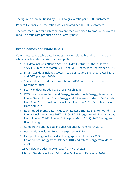The figure is then multiplied by 10,000 to give a ratio per 10,000 customers.

Prior to October 2018 the ration was calculated per 100,000 customers.

The total measures for each company are then combined to produce an overall ratio. The ratios are produced on a quarterly basis.

#### **Brand names and white labels**

Complaints league table data includes data for related brand names and any white label brands operated by the supplier.

- 1. SSE data includes Atlantic, Scottish Hydro Electric, Southern Electric, SWALEC, Ebico (pre-March 2017), and M&S Energy (pre-September 2018).
- 2. British Gas data includes Scottish Gas, Sainsbury's Energy (pre-April 2019) and BGX (pre-April 2020).
- 3. Spark data included Glide, from March 2018 until Spark closed in December 2019.
- 4. Ecotricity data included Glide (pre-March 2018).
- 5. OVO data includes Southend Energy, Peterborough Energy, Fairerpower. Energy SW and Lumo. Spark Energy and Glide are included in OVO's data from April 2019. Boost data is included from Jan 2020. SSE data is included from April 2020.
- 6. Robin Hood Energy data includes White Rose Energy, Brighter World, The Energy Deal (pre August 2017), LECCy, RAM Energy, Angelic Energy, Great North Energy, CitizEn Energy, Ebico (post-March 2017), RAM Energy, and Beam Energy.
- 7. Co-operative Energy data includes GB Energy from March 2017.
- 8. npower data includes Powershop (pre-June 2020)
- 9. Octopus Energy includes M&S Energy (post-September 2018), Co-operative Energy from October 2018, and Affect Energy from March 2021
- 10.E.ON data includes npower data from March 2021
- 11.British Gas data includes British Gas Evolve from December 2020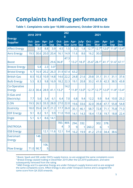# **Complaints handling performance**

#### **Table 1. Complaints ratio (per 10,000 customers), October 2018 to date**

| <b>Energy</b>                 |            | 2018 2019  |                                   |            |                 | 202<br>$\bf{0}$ |              |                              |                                               | 2021              |                                                                |             |                    |
|-------------------------------|------------|------------|-----------------------------------|------------|-----------------|-----------------|--------------|------------------------------|-----------------------------------------------|-------------------|----------------------------------------------------------------|-------------|--------------------|
| <b>Supplier</b>               | <b>Dec</b> | <b>Mar</b> | Oct- Jan- Apr- Jul-<br><b>Jun</b> | <b>Sep</b> | <b>Dec</b>      |                 | Mar June Sep |                              | Oct- Jan- Apr- July- Oct - Jan-<br><b>Dec</b> | <b>Mar</b>        | Apr- Jul-<br>Jun                                               | <b>Sep</b>  | Oct-<br><b>Dec</b> |
| <b>Affect Energy</b>          |            | 3.0        | 8.8                               | 3.9        | 4.5             | 1.5             | 3.2          | 1.8                          | 12.7 <sup>4</sup>                             | 12.7 <sup>4</sup> | $12.0^{4}$                                                     | $11.8^{4}$  | $13.4^{4}$         |
| <b>Avro Energy</b>            | 19.5       | 30.6       | 20.0                              | 20.4       | 16.1            | 14.9            | 11.6         | 8.6                          | 16.2                                          | 30.0              |                                                                |             |                    |
| <b>Boost</b>                  |            |            |                                   | 29.6       | $ 36.8^2 $      | 47.3            | $13.2^2$     | $18.3^2$                     |                                               |                   | $25.6^2$ 28.1 <sup>2</sup> 41.1 <sup>2</sup> 51.6 <sup>2</sup> |             | $67.1^2$           |
| <b>Breeze Energy</b>          |            | 5.8        | 2.3                               | $3.0^{3}$  |                 |                 |              |                              |                                               |                   |                                                                |             |                    |
| <b>Bristol Energy</b>         | 9.7        | 16.9       | 20.2                              | 26.3       | 31.9            | 67.4            | 63.2         |                              |                                               |                   |                                                                |             |                    |
| <b>British Gas</b>            | 8.5        | 10.3       | 10.9                              | 14.8       | 14.6            | 22.2            | 24.8         | 21.6                         | 29.8                                          | 31.1              | 31.1                                                           | 31.1        | 37.6               |
| <b>Bulb Energy</b>            | 5.5        | 8.3        | 9.8                               | 16.9       | 18.2            | 22.3            | 19.1         | 20.8                         | 33.2                                          | 41.9              | 42.3                                                           | 38.5        | 43.8               |
| Co-Operative<br><b>Energy</b> | 22.3       | 30.4       | 28.9                              |            | 41.1   $13.2^4$ | 14.2<br>4       |              | $11.8^{4}$ 13.0 <sup>4</sup> | 12.7 <sup>4</sup>                             |                   | $12.74$ 12.0 <sup>4</sup>                                      | $11.8^{4}$  | $13.4^{4}$         |
| E (Gas and<br>Electricity)    | 7.7        | 5.6        | 3.4                               | 6.1        | 6.4             | 7.0             | 6.8          | 9.4                          | 12.2                                          | 9.9               | 9.4                                                            | 10.0        | 25.2               |
| E.ON                          | 19.5       | 26.5       | 33.3                              | 28.0       | 27.0            | 22.0            | 19.6         | 33.6                         | 32.0                                          | 39.8              | 47.7                                                           | 55.8        | 54.8               |
| <b>Ecotricity</b>             | 18.0       | 35.6       | 24.7                              | 21.2       | 17.7            | 26.0            | 35.1         | 46.1                         | 58.7                                          | 72.8              | 71.1                                                           | 75.8        | 71.0               |
| <b>EDF Energy</b>             | 9.1        | 8.2        | 9.1                               | 9.9        | 11.0            | 19.0            | 14.1         | 14.3                         | 18.4                                          | 17.8              | 19.7                                                           | 18.8        | 22.4               |
| <b>Engie</b>                  | 5.1        | 6.1        | 8.6                               | 14.1       |                 |                 |              |                              |                                               |                   |                                                                |             |                    |
| <b>ENSTROGA</b>               |            |            |                                   |            | 783.<br>4       | 469.<br>3       | 294.<br>9    | 332.                         | 260.2                                         | 302.<br>6         | 378.<br>1                                                      |             |                    |
| <b>ESB Energy</b>             |            |            | 12.1                              | 11.6       | 12.1            | 9.4             | 16.2         | 19.9                         | 41.2                                          | <b>27.0</b>       | 34.4                                                           | <b>38.6</b> |                    |
| Eversmart<br><b>Energy</b>    |            | 148.<br>3  |                                   |            |                 |                 |              |                              |                                               |                   |                                                                |             |                    |
| <b>Flow Energy</b>            |            | 71.0 90.7  | 106.<br>5                         |            |                 |                 |              |                              |                                               |                   |                                                                |             |                    |

<sup>&</sup>lt;sup>3</sup> Breeze Energy ceased trading in December 2019 after the Q3 2019 publication, and were subsequently removed from the rating <sup>2</sup> Boost, Spark and SSE under OVO's supply licence, so are assigned the same complaints score

<sup>4</sup> M&S Energy and Co-operative Energy are under Octopus's supply licence and so are assigned the same complaints score. Affect Energy is also under Octopus's licence and is assigned the same score from Q4 2020 onwards.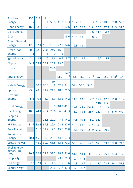| Foxglove                                           | 133.      | 218.      | 111.           |           |                   |             |          |                              |       |                        |                                                               |      |            |
|----------------------------------------------------|-----------|-----------|----------------|-----------|-------------------|-------------|----------|------------------------------|-------|------------------------|---------------------------------------------------------------|------|------------|
| <b>Energy</b>                                      | 9         | 5         |                | 58.8      | 41.7              | 19.3        | 15.2     | 11.8                         | 10.3  | 10.2                   | 10.9                                                          | 25.0 | 59.5       |
| <b>Good Energy</b>                                 | 16.6      | 28.2      | 30.2           | 16.1      | 21.3              | 17.6        | 19.2     | 22.3                         | 24.8  | 30.6                   | 27.7                                                          | 21.3 | 31.2       |
| <b>GoTo Energy</b>                                 |           |           |                |           |                   |             |          |                              | 4.0   | 11.3                   | 4.2                                                           |      |            |
| Green                                              |           |           |                |           |                   | 15.6        | 10.1     | 13.6                         | 10.8  | 22.8                   |                                                               |      |            |
| <b>Green Network</b><br><b>Energy</b>              | 12.6      | 12.1      | 12.0           | 18.7      | 22.7              | 34.6        | 19.8     | 18.4                         |       |                        |                                                               |      |            |
| <b>Green Star</b><br><b>Energy</b>                 | 208.<br>3 | 283.<br>4 | 270.<br>6      | 245.<br>9 | 165.<br>2         |             |          |                              |       |                        |                                                               |      |            |
| Igloo Energy                                       | 3.1       | 2.7       | $\overline{0}$ | 1.6       | 0.5               | 3.7         | 3.2      | 3.9                          | 4.1   | 5.2                    | 5.2                                                           |      |            |
| <b>iSupply</b>                                     | 44.3      | 35.7      | 24.9           | 23.8      | 19.5              |             |          |                              |       |                        |                                                               |      |            |
| Lumo                                               |           |           |                | 29.6      |                   |             |          |                              |       |                        |                                                               |      |            |
| <b>M&amp;S Energy</b>                              |           |           |                |           | 13.2 <sup>4</sup> | 14.2        |          | $11.8^{4}$ 13.0 <sup>4</sup> |       |                        | $12.74$ 12.7 <sup>4</sup> 12.0 <sup>4</sup> 11.8 <sup>4</sup> |      | $13.4^{4}$ |
| <b>Nabuh Energy</b>                                |           | 50.8      | 60.8           | 119.<br>9 | 62.1              | 84.1        |          | $59.4$ 55.3                  | 54.3  |                        |                                                               |      |            |
| npower                                             | 23.6      | 28.8      | 24.4           | 21.8      | 18.8              | 21.5        |          |                              |       |                        |                                                               |      |            |
| <b>Octopus</b><br><b>Energy</b>                    | 5.8       | 10.1      | 6.9            | 6.9       | 13.2              | 14.2        | 11.8     | 13.0                         | 12.7  | 12.7                   | 12.0                                                          | 11.8 | 13.4       |
| <b>Orbit Energy</b>                                |           |           |                | 13.5      | 18.2              | 49.1        | 42.8     | 78.9                         | 109.8 | 118.<br>$\overline{4}$ | 114.<br>2                                                     |      |            |
| <b>Ovo Energy</b>                                  | 10.6      | 24.1      | 26.4           | 29.6      | 36.8              | 47.3        | 13.2     | 18.3                         | 25.6  | 28.1                   | 41.1                                                          | 51.6 | 67.1       |
| People's<br><b>Energy</b>                          |           |           | 23.8           | 22.2      | 7.4               | 14.2        | 7.5      | 10.8                         | 15.2  | 31.1                   |                                                               |      |            |
| <b>PFP Energy</b>                                  | 31.6      | 32.3      | 39.8           | 29.4      |                   | $28.2$ 37.6 | 18.5     | 43.3                         | 55.1  | 34.8                   |                                                               |      |            |
| <b>Pure Planet</b>                                 |           | 11.3      | 11.2           | 12.2      | 15.6              | 22.8        | 16.5     | 19.4                         | 21.9  | 24.0                   | 30.2                                                          |      |            |
| <b>Robin Hood</b><br><b>Energy</b>                 | 40.4      | 45.7      | 37.9           | 29.3      |                   | 44.2 59.3   |          |                              |       |                        |                                                               |      |            |
| ScottishPower                                      | 41.1      | 46.9      | 60.9           | 66.8      |                   | $63.8$ 70.3 | 56.3     | 46.0                         | 62.1  | 57.3                   | 69.2                                                          | 72.8 | 74.5       |
| <b>Shell Energy</b><br>(formerly First<br>Utility) | 26.3      | 29.9      | 27.1           | 31.2      |                   | $28.2$ 31.6 | 51.8     | 43.1                         | 45.4  | 34.1                   | 26.6                                                          | 23.3 | 18.9       |
| Simplicity                                         |           |           |                |           | 23.7              | 36.3        | 19.1     | 41.5                         |       |                        |                                                               |      |            |
| So Energy                                          | 2.2       | 2.1       | 4.8            | 1.8       | 1.9               | 3.6         | 4.3      | 3.9                          | 6.1   | 11.7                   | 23.3                                                          | 36.3 | 51.3       |
| <b>Spark Energy</b>                                |           |           |                | 29.6      | $36.8^2$          | 47.3        | $13.2^2$ | $18.3^2$                     |       |                        |                                                               |      |            |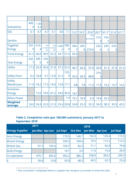|                                  |           |             |                                          |                                          |             | 2         |           |                        |                        |           |            |                   |          |
|----------------------------------|-----------|-------------|------------------------------------------|------------------------------------------|-------------|-----------|-----------|------------------------|------------------------|-----------|------------|-------------------|----------|
| Solarplicity                     | 495.<br>6 | 1,06<br>8.4 |                                          |                                          |             |           |           |                        |                        |           |            |                   |          |
| <b>SSE</b>                       | 4.7       | 4.7         | 4.7                                      | 6.1                                      | 4.8         | 7.1       | $13.2^2$  | $18.3^2$               | $25.6^{2}$             | $28.1^2$  | $41.1^{2}$ | 51.6 <sup>2</sup> | $67.1^2$ |
| Symbio                           |           |             |                                          |                                          |             |           |           |                        | <b>Not</b><br>provided | 273.<br>9 | 743.<br>5  |                   |          |
| <b>Together</b><br><b>Energy</b> | 291<br>9  | 614.<br>4   | <b>Not</b><br>consent<br>ed <sup>5</sup> | <b>Not</b><br>consent<br>ed <sup>5</sup> | 1,260<br>.3 | 780.<br>0 | 364.<br>7 | 329.<br>8 <sup>1</sup> | 279.6                  | 224.<br>4 | 234.<br>5  | 233.<br>3         |          |
| <b>Tonik Energy</b>              | 41.5      | 46.6        | 39.5                                     | 32.3                                     | 24.7        | 51.6      | 95.6      |                        |                        |           |            |                   |          |
| <b>Toto Energy</b>               | 342.      | 495.<br>5   | 169.<br>9                                |                                          |             |           |           |                        |                        |           |            |                   |          |
| Utilita                          | 17.3      | 26.9        | 30.6                                     | 31.6                                     | 37.2        | 52.4      | 44.7      | 42.6                   | 57.9                   | 43.9      | 31.3       | 27.3              | 61.4     |
| <b>Utility Point</b>             | 9.2       | 18.8        | 9.7                                      | 12.0                                     | 31.2        | 123.<br>9 | 33.3      | 20.5                   | 68.8                   | 214.<br>3 |            |                   |          |
| <b>Utility</b><br>Warehouse      | 11.6      | 18.2        | 17.3                                     | 14.0                                     | 13.8        | 17.1      | 9.8       | 7.8                    | 11.3                   | 11.9      | 13.2       | 13.7              | 14.2     |
| Yorkshire<br><b>Energy</b>       |           | 13.0        | 18.6                                     | 47.2                                     | 54.8        | 36.6      | 18.7      |                        |                        |           |            |                   |          |
| <b>Zebra Power</b>               |           |             |                                          |                                          |             | 7.4       | 10.1      | 10.9                   | 6.3                    | 19.4      | 25.2       |                   |          |
| <b>Weighted</b><br>average       | 18.0      | 26.9        | 22.0                                     | 21.5                                     | 25.4        | 29.8      | 24.8      | 25.3                   | 32.3                   | 34.5      | 38.3       | 39.5              | 43.5     |

#### **Table 2. Complaints ratio (per 100,000 customers), January 2017 to September 2018**

|                        | 2017                     |       |       |                         | 2018  |       |                 |
|------------------------|--------------------------|-------|-------|-------------------------|-------|-------|-----------------|
| <b>Energy Supplier</b> | Jan-Mar Apr-Jun Jul-Sept |       |       | Oct-Dec Jan-Mar Apr-Jun |       |       | <b>Jul-Sept</b> |
| <b>Avro Energy</b>     |                          |       | 179.5 | 140.7                   | 152.9 | 129.4 | 115.0           |
| <b>Bristol Energy</b>  |                          |       | 330.3 | 184.6                   | 74.5  | 112.2 | 114.3           |
| <b>British Gas</b>     | 97.3                     | 100.4 | 104.7 | 82.5                    | 71.1  | 82.8  | 79.8            |
| <b>Bulb Energy</b>     |                          |       | 18.7  | 3.9                     | 11.0  | 15.6  | 28.9            |
| Co-operative           | 475.7                    | 405.6 | 492.2 | 386.2                   | 258.8 | 302.5 | 299.3           |
| ΙE                     | 50.8                     | 15.8  | 30.9  | 48.5                    | 40.5  | 62.3  | 23.4            |

<sup>5</sup> "Not consented" is displayed where a supplier has not given us consent to show this data.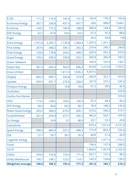| E.ON                     | 111.2   | 116.3   | 145.5   | 131.3   | 150.4   | 176.3   | 163.4   |
|--------------------------|---------|---------|---------|---------|---------|---------|---------|
| <b>Economy Energy</b>    | 307.7   | 328.8   | 431.5   | 697.7   | 826     | 908.9   | 1,644.1 |
| <b>Ecotricity</b>        | 144.5   | 175.3   | 180.8   | 188.8   | 280.4   | 194.4   | 245.9   |
| <b>EDF Energy</b>        | 42.2    | 47.8    | 54.6    | 63.2    | 67.5    | 92.5    | 88.8    |
| <b>Engie</b>             |         |         |         |         | 34.4    | 54.8    | 158     |
| <b>Extra Energy</b>      | 1,915.8 | 2,393.7 | 1,729.8 | 1,469.4 | 1,297.0 | 1,261.2 |         |
| <b>First Utility</b>     | 267.6   | 368.2   | 336.1   | 292.3   | 279.4   | 249.7   | 244.8   |
| <b>Flow Energy</b>       | 133.6   | 178.8   | 244.2   | 440.5   | 529.3   | 552.3   | 375.4   |
| <b>Good Energy</b>       | 193.6   | 249.5   | 239.8   | 333.7   | 342.8   | 266.4   | 183.3   |
| <b>Green Network</b>     |         |         |         |         | 106.9   | 107.9   | 130.7   |
| <b>Green Star</b>        | 361.5   | 420.4   | 563.0   | 696.4   | 819.9   | 1,215.8 | 1,707.5 |
| <b>Iresa Limited</b>     |         |         | 1,811.0 | 1,836.3 | 9,407.6 |         |         |
| <b>iSupply</b>           | 665.3   | 690.7   | 542.8   | 314.9   | 264.9   | 322.1   | 410.9   |
| npower                   | 343.5   | 291.7   | 275.0   | 228.2   | 257.0   | 237.2   | 235.3   |
| <b>Octopus Energy</b>    |         |         | 19.8    | 18.8    | 61.2    | 39.9    | 42.9    |
| <b>OneSelect</b>         |         |         |         |         |         |         | 559.8   |
| <b>Outfox the Market</b> |         |         |         |         |         |         | 374.5   |
| <b>OVO</b>               | 113.2   | 128.5   | 106.2   | 100.3   | 97.5    | 84.4    | 99.2    |
| <b>PFP Energy</b>        | 84.5    | 49.6    | 94.5    | 98.7    | 78.9    | 168.2   | 142.6   |
| Robin Hood Energy        | 329.5   | 368.2   | 673.0   | 456.1   | 610.0   | 546.3   | 519.1   |
| ScottishPower            | 261.6   | 476.9   | 473.7   | 456.3   | 462.3   | 503.1   | 479.5   |
| So Energy                |         | 16.8    | 9.1     | 48.9    | 23.1    | 23.3    | 29.0    |
| Solarplicity             |         |         |         |         | 873.3   | 1,912.4 | 4,721.9 |
| <b>Spark Energy</b>      | 596.0   | 485.4   | 557.2   | 498.3   | 715.9   | 852.4   | 720.4   |
| <b>SSE</b>               | 27.1    | 33.7    | 39.2    | 35.3    | 40.8    | 51.4    | 45.9    |
| <b>Together Energy</b>   |         |         |         |         |         | 1,417.5 | 1,752.2 |
| <b>Tonik</b>             |         |         |         |         | 136.4   | 137.9   | 248.3   |
| <b>TOTO</b>              |         |         |         |         | 1,804.4 | 1,957.8 | 2,162.9 |
| <b>Utilita</b>           | 234.0   | 153.6   | 129.3   | 171.0   | 207.7   | 131.0   | 98.5    |
| <b>Utility Warehouse</b> | 145.7   | 148.1   | 123.2   | 114.7   | 143.3   | 128.4   | 139.3   |
| <b>Weighted average</b>  | 160.0   | 186.5   | 192.4   | 177.3   | 201.8   | 185.7   | 210.2   |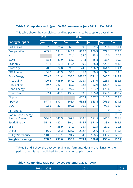|                          | 2015  |            |            | 2016       |        |            |            |
|--------------------------|-------|------------|------------|------------|--------|------------|------------|
| <b>Energy Supplier</b>   | Jun   | <b>Sep</b> | <b>Dec</b> | <b>Mar</b> | Jun    | <b>Sep</b> | <b>Dec</b> |
| <b>British Gas</b>       | 82.8  | 86.4       | 65.3       | 69.0       | 79.5   | 79.0       | 81.1       |
| Co-operative             | 645.1 | 1584.1     | 1148.8     | 819.3      | 850.3  | 679.1      | 713.0      |
| ΙE                       |       | 55.7       | 74.1       | 54.0       | 35.8   | 27.0       | 70.2       |
| E.ON                     | 88.8  | 89.9       | 88.9       | 91.1       | 85.8   | 83.4       | 90.0       |
| Economy                  | 141.3 | 110.4      | 147.4      | 189.9      | 178.3  | 420.4      | 284.5      |
| <b>Ecotricity</b>        | 70.2  | 124.8      | 98.8       | 74.8       | 176.7  | 164.5      | 134.4      |
| <b>EDF Energy</b>        | 64.3  | 43.3       | 34.5       | 35.4       | 30.5   | 32.1       | 34.8       |
| <b>Extra Energy</b>      | 769.5 | 1164.4     | 1553.7     | 1682.0     | 1791.2 | 1505.7     | 1447.1     |
| <b>First Utility</b>     | 420.6 | 455.9      | 367.2      | 308.4      | 281.0  | 228.6      | 232.1      |
| <b>Flow Energy</b>       | 169.7 | 227.1      | 89.0       | 32.6       | 132.9  | 120.4      | 175.2      |
| <b>Good Energy</b>       | 91.2  | 149.4      | 97.2       | 92.2       | 153.2  | 176.6      | 90.7       |
| <b>Green Star</b>        | 97.4  | 49.1       | 133.4      | 153.6      | 265.0  | 459.9      | 489.2      |
| <b>iSupply</b>           |       |            |            | 607.1      | 347.2  | 818.5      | 554.8      |
| npower                   | 577.1 | 690.1      | 565.4      | 652.8      | 383.4  | 266.9      | 279.5      |
| <b>OVO</b>               | 122.5 | 137.1      | 102.6      | 90.0       | 91.7   | 90.3       | 102.4      |
| <b>PFP</b> Energy        |       |            |            |            |        | 19.0       | 13.5       |
| <b>Robin Hood Energy</b> |       |            |            |            |        |            | 100.2      |
| ScottishPower            | 944.3 | 740.3      | 567.9      | 558.3      | 571.5  | 446.3      | 397.4      |
| <b>Spark Energy</b>      | 518.2 | 482.8      | 304.1      | 414.7      | 371.9  | 438.6      | 463.1      |
| <b>SSE</b>               | 47.7  | 38.9       | 34.9       | 28.4       | 22.5   | 27.2       | 20.5       |
| Utilita                  | 116.0 | 98.3       | 126.7      | 232.7      | 95.6   | 112.9      | 212.5      |
| <b>Utility Warehouse</b> | 118.6 | 118.1      | 91.2       | 94.8       | 108.5  | 133.2      | 125.8      |
| <b>Weighted average</b>  | 238.2 | 238.6      | 193.9      | 203.4      | 180.8  | 155.4      | 152.4      |

#### **Table 3. Complaints ratio (per 100,000 customers), June 2015 to Dec 2016**

This table shows the complaints handling performance by suppliers over time.

Tables 3 and 4 show the past complaints performance data and rankings for the period that this was published for the six large suppliers only.

#### <span id="page-9-0"></span>**Table 4. Complaints ratio per 100,000 customers, 2012 - 2015**

| $ 2012 $ 2013 | $\vert$ 2014 | 2015 |
|---------------|--------------|------|
|               |              |      |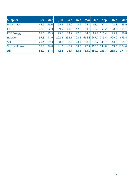| <b>Supplier</b>              | <b>Dec</b> | <b>Mar</b> | $ $ Jun $ $ | Sep   | Dec   | Mar  | un                | $ \mathsf{Sep} $  | <b>Dec</b>                       | <b>Mar</b> |
|------------------------------|------------|------------|-------------|-------|-------|------|-------------------|-------------------|----------------------------------|------------|
| <b>British Gas</b>           | 43.5       | 53.0       | 55.5        | 55.0  | 43.5  | 75.4 | 81.4              | 97.3              | 72.3                             | 83.9       |
| <b>E.ON</b>                  | 47.6       | 52.3       | 59.9        | 61.8  | 47.6  | 83.6 | 79.2l             | 99.2              | 108.2                            | 101.1      |
| <b>EDF</b> Energy            | 92.6       | 75.5       | 75.5        | 74.2  | 92.6  | 84.5 |                   | 82.7   110.4      | 75.1                             | 76.8       |
| <i><u><b>Inpower</b></u></i> | 97.3       | 141.9      | 202.5       | 253.1 | 103.1 |      |                   | 664.8 647.7 719.4 | 599.0                            | 675.4      |
| <b>SSE</b>                   | 24.4       | 29.3       | 38.3        | 32.3  | 24.4  | 38.7 | 33.7 <sup>1</sup> | 45.7              | 44.5                             | 55.1       |
| ScottishPower                | 38.3       | 36.8       | 41.0        | 46.2  | 38.3  |      |                   |                   | 197.7 256.0 744.8 1,163.0 1154.6 |            |
| <b>AII</b>                   | 52.9       | 61.1       | 72.8        | 78.4  | 53.3  |      |                   | 153.9 159.0 236.7 | 258.0                            | 271.1      |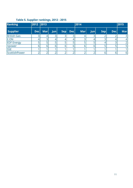# **Table 5. Supplier rankings, 2012 - 2015**

<span id="page-11-0"></span>

| <b>Ranking</b>               | 2012 2013  |            |            |     |            | 2014       |    |            |            | 2015           |
|------------------------------|------------|------------|------------|-----|------------|------------|----|------------|------------|----------------|
| <b>Supplier</b>              | <b>Dec</b> | <b>Mar</b> | $J$ un $ $ | Sep | <b>Dec</b> | <b>Mar</b> | un | <b>Sep</b> | <b>Dec</b> | <b>Mar</b>     |
| <b>British Gas</b>           |            |            | 3          | 3   |            |            | 3  |            |            | $\overline{3}$ |
| <b>E.ON</b>                  |            |            | 4          |     |            |            |    |            |            | $\overline{4}$ |
| <b>EDF</b> Energy            |            |            | с          |     |            |            |    |            |            | $\overline{2}$ |
| <i><u><b>Inpower</b></u></i> |            |            | հ          | 6   |            |            | ь  |            |            | 5              |
| <b>SSE</b>                   |            |            |            |     |            |            |    |            |            |                |
| ScottishPower                |            |            |            |     |            |            |    |            |            | 6              |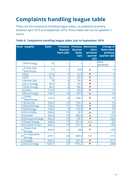# **Complaints handling league table**

These are the complaints handling league tables, as published quarterly between April 2015 and September 2016. These tables will not be updated in future.

<span id="page-12-0"></span>

|  | Table 6. Complaints handling league table, July to September 2016 |  |  |
|--|-------------------------------------------------------------------|--|--|
|  |                                                                   |  |  |

<span id="page-12-1"></span>

|                | <b>Rank Supplier</b>          | <b>Ratio</b>    | <b>Previous</b><br>Quarter<br>Rank (Q2) | Quarter<br><b>Ratio</b><br>(Q2) | <b>Previous Movement</b><br>since<br>previous<br>quarter<br>(Q2) | <b>Change in</b><br><b>Ratio since</b><br>previous<br>quarter (Q2) |
|----------------|-------------------------------|-----------------|-----------------------------------------|---------------------------------|------------------------------------------------------------------|--------------------------------------------------------------------|
|                | 1   PFP Energy                | 19              |                                         |                                 |                                                                  | <b>NEW</b><br><b>ENTRANT</b>                                       |
| $\overline{2}$ | E (Gas and<br>Electricity)    | 27              | 3                                       | 35.8                            | ▲                                                                | $-9$                                                               |
|                | $3$ SSE                       | 27.2            | 1                                       | 22.5                            |                                                                  | 5                                                                  |
|                | $4$ EDF                       | 32.1            | $\overline{2}$                          | 30.5                            |                                                                  | $\overline{2}$                                                     |
|                | 5 British Gas                 | $\overline{79}$ | 4                                       | 79.5                            | $\blacktriangledown$                                             | $-1$                                                               |
|                | 6 E.on Energy                 | 83.4            | $\overline{5}$                          | 79.5                            | $\blacktriangledown$                                             | $\overline{-2}$                                                    |
|                | 7 OVO Energy                  | 90.3            | $\overline{6}$                          | 90.3                            | V                                                                | $-1$                                                               |
|                | 8 Utilita                     | 112.9           | $\overline{7}$                          | 95.6                            | V                                                                | 17                                                                 |
|                | 9 Flow Energy                 | 120.4           | $\overline{10}$                         | 132.9                           |                                                                  | $-12$                                                              |
| 10             | <b>Utility</b><br>Warehouse   | 133.2           | 8                                       | 108.5                           | ▼                                                                | 25                                                                 |
|                | 11 Ecotricity                 | 164.5           | 12                                      | 176.7                           | Δ                                                                | $-12$                                                              |
|                | 12 Good Energy                | 176.6           | 11                                      | 153.2                           | $\blacktriangledown$                                             | 23                                                                 |
|                | 13 GB Energy                  | 198.5           | 9                                       | 125.4                           | V                                                                | 73                                                                 |
|                | 14 First Utility              | 228.6           | 15                                      | 281                             | $\blacktriangle$                                                 | $-52$                                                              |
|                | 15 npower                     | 266.9           | 15                                      | 383.4                           | Δ                                                                | $-116$                                                             |
|                | 16 Economy Energy             | 420.4           | 13                                      | 178.3                           | $\blacktriangledown$                                             | 242                                                                |
|                | 17 Spark Energy               | 438.6           | 17                                      | 371.9                           | $\blacklozenge$                                                  | 67                                                                 |
|                | 18 Scottish Power             | 446.3           | 19                                      | 571.5                           | $\blacktriangle$                                                 | $-125$                                                             |
| 19             | <b>Green Star</b><br>Energy   | 459.9           | 14                                      | 265                             | V                                                                | 195                                                                |
| 20             | Co-Operative<br><b>Energy</b> | 679.1           | 20                                      | 850.3                           | $\blacklozenge$                                                  | $-171$                                                             |
|                | 21 <i>iSupply</i>             | 818.5           | 16                                      | 347.2                           | $\blacktriangledown$                                             | 471                                                                |
|                | 22 Extra Energy               | 1505.7          | 21                                      | 1791.2                          | $\blacktriangledown$                                             | $-285$                                                             |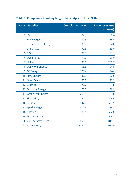<span id="page-13-0"></span>

|                | <b>Rank Supplier</b>       | <b>Complaints ratio</b> | <b>Ratio (previous</b><br>quarter) |
|----------------|----------------------------|-------------------------|------------------------------------|
| 1              | <b>SSE</b>                 | 22.5                    | 28.4                               |
| $\overline{2}$ | <b>EDF Energy</b>          | 30.5                    | 35.4                               |
| 3              | E (Gas and Electricity)    | 35.8                    | 54.0                               |
| 4              | <b>British Gas</b>         | 79.5                    | 69.0                               |
| 5              | E.ON                       | 85.8                    | 91.1                               |
| 6              | <b>Ovo Energy</b>          | 91.7                    | 90.0                               |
| $\overline{7}$ | Utilita                    | 95.6                    | 232.7                              |
| 8              | <b>Utility Warehouse</b>   | 108.5                   | 94.8                               |
| 9              | <b>GB Energy</b>           | 125.4                   | N/A                                |
| 10             | <b>Flow Energy</b>         | 132.9                   | 32.6                               |
| 11             | <b>Good Energy</b>         | 153.2                   | 92.2                               |
| 12             | Ecotricity                 | 176.7                   | 74.8                               |
| 13             | <b>Economy Energy</b>      | 178.3                   | 189.9                              |
| 14             | <b>Green Star Energy</b>   | 265.0                   | 153.6                              |
| 15             | <b>First Utility</b>       | 281.0                   | 308.4                              |
|                | 16   iSupply               | 347.2                   | 607.1                              |
| 17             | <b>Spark Energy</b>        | 371.9                   | 414.7                              |
| 18             | npower                     | 383.4                   | 652.8                              |
| 19             | <b>Scottish Power</b>      | 571.5                   | 558.3                              |
| 20             | <b>Co-Operative Energy</b> | 850.3                   | 819.3                              |
| 21             | <b>Extra Energy</b>        | 1791.2                  | 1,682.0                            |

# **Table 7. Complaints handling league table, April to June 2016**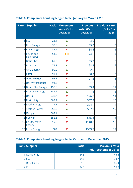|   | <b>Rank Supplier</b>             | Ratio | <b>Movement</b><br>since Oct -<br><b>Dec 2015</b> | <b>Previous</b><br>ratio (Oct -<br>Dec 2015) | <b>Previous rank</b><br>(Oct - Dec<br>2015) |
|---|----------------------------------|-------|---------------------------------------------------|----------------------------------------------|---------------------------------------------|
| 1 | <b>SSE</b>                       | 28.4  | Δ                                                 | 34.9                                         | $\overline{2}$                              |
|   | 2 Flow Energy                    | 32.6  |                                                   | 89.0                                         | 6                                           |
|   | 3 EDF Energy                     | 35.4  | V                                                 | 34.5                                         | 1                                           |
|   | 4 E (Gas and<br>Electricity)     | 54.0  |                                                   | 74.1                                         | 4                                           |
|   | 5 British Gas                    | 69.0  | $\blacktriangledown$                              | 65.3                                         | 3                                           |
|   | 6 Ecotricity                     | 74.8  |                                                   | 98.8                                         | 9                                           |
|   | 7 OVO Energy                     | 90.0  | Δ                                                 | 102.6                                        | 10                                          |
|   | 8E.ON                            | 91.1  | $\blacktriangledown$                              | 88.9                                         | 5                                           |
|   | 9 Good Energy                    | 92.2  | $\blacktriangledown$                              | 97.2                                         | 8                                           |
|   | 10 Utility Warehouse             | 94.8  | $\blacktriangledown$                              | 91.2                                         | $\overline{7}$                              |
|   | 11 Green Star Energy             | 153.6 | Δ                                                 | 133.4                                        | 12                                          |
|   | 12 Economy Energy                | 189.9 | $\blacktriangle$                                  | 147.4                                        | 13                                          |
|   | 13 Utilita                       | 232.7 | $\blacktriangledown$                              | 126.7                                        | 11                                          |
|   | 14 First Utility                 | 308.4 | $\blacktriangle$                                  | 367.2                                        | 15                                          |
|   | 15 Spark Energy                  | 414.7 | $\blacktriangledown$                              | 304.1                                        | 14                                          |
|   | 16 Scottish Power                | 558.3 | $\blacktriangle$                                  | 567.9                                        | 17                                          |
|   | 17 iSupply                       | 607.1 | 44                                                |                                              |                                             |
|   | 18 npower                        | 652.8 | $\blacktriangledown$                              | 565.4                                        | 16                                          |
|   | 19 Co-Operative<br><b>Energy</b> | 819.3 | V                                                 | 1148.8                                       | 18                                          |
|   | 20 Extra Energy                  | 1682  |                                                   | 1553.7                                       | 19                                          |

# **Table 8. Complaints handling league table, January to March 2016**

## **Table 9. Complaints handling league table, October to December 2015**

| <b>Rank Supplier</b> |               | <b>Ratio</b> | <b>Previous ratio</b><br>(July - September 2015) |
|----------------------|---------------|--------------|--------------------------------------------------|
|                      | 1 EDF Energy  | 34.5         | 43.3                                             |
|                      | 2 SSE         | 34.9         | 38.7                                             |
|                      | 3 British Gas | 65.3         | 86.4                                             |
|                      |               | 74.1         | 55.7                                             |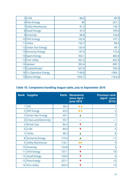|    | 5 E.ON                 | 88.9   | 89.9   |
|----|------------------------|--------|--------|
|    | 6 Flow Energy          | 89     | 227.1  |
|    | 7 Utility Warehouse    | 91.2   | 118.1  |
|    | 8 Good Energy          | 97.2   | 149.4  |
|    | 9 Ecotricity           | 98.8   | 124.8  |
|    | 10 OVO Energy          | 102.6  | 137.1  |
| 11 | Utilita                | 126.7  | 98.3   |
|    | 12 Green Star Energy   | 133.4  | 49.1   |
|    | 13 Economy Energy      | 147.4  | 110.4  |
|    | 14 Spark Energy        | 304.1  | 482.8  |
|    | 15 First Utility       | 367.2  | 455.9  |
|    | 16 npower              | 565.4  | 690.1  |
|    | 17 Scottish Power      | 567.9  | 740.3  |
|    | 18 Co-Operative Energy | 1148.8 | 1584.1 |
|    | 19 Extra Energy        | 1553.7 | 1164.4 |

# **Table 10. Complaints handling league table, July to September 2015**

|                | <b>Rank Supplier</b>     | Ratio | <b>Movement</b><br>since April -<br><b>June 2015</b> | <b>Previous rank</b><br>(April - June<br>2015) |
|----------------|--------------------------|-------|------------------------------------------------------|------------------------------------------------|
| 1              | <b>SSE</b>               | 38.9  | $\blacklozenge$                                      |                                                |
| 2              | <b>EDF Energy</b>        | 43.3  | ◀ ▶                                                  | $\overline{2}$                                 |
| 3              | <b>Green Star Energy</b> | 49.1  |                                                      | $\overline{7}$                                 |
| 4 <sup>1</sup> | E (Gas and Electricity)  | 55.7  |                                                      |                                                |
| 5              | <b>British Gas</b>       | 86.4  |                                                      | 4                                              |
|                | $6$ E.ON                 | 89.9  |                                                      | 5                                              |
| 7              | Utilita                  | 98.3  |                                                      | 8                                              |
| 8 <sup>1</sup> | <b>Economy Energy</b>    | 110.4 |                                                      | 11                                             |
| 9              | <b>Utility Warehouse</b> | 118.1 | $\blacklozenge$                                      | 9                                              |
|                | 10 Ecotricity            | 124.8 |                                                      | 3                                              |
| 11             | <b>OVO Energy</b>        | 137.1 |                                                      | 10                                             |
| 12             | <b>Good Energy</b>       | 149.4 |                                                      | 6                                              |
| 13             | <b>Flow Energy</b>       | 227.1 |                                                      | 12                                             |
|                | 14 First Utility         | 455.9 |                                                      | 13                                             |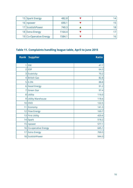| 15 Spark Energy        | 482.8  |  |
|------------------------|--------|--|
| 16   npower            | 690.1  |  |
| 17 Scottish Power      | 740.3  |  |
| 18 Extra Energy        | 1164.4 |  |
| 19 Co-Operative Energy | 1584.1 |  |

# <span id="page-16-0"></span>**Table 11. Complaints handling league table, April to June 2015**

|                | <b>Rank Supplier</b>       | <b>Ratio</b> |
|----------------|----------------------------|--------------|
| 1              | <b>SSE</b>                 | 47.7         |
| $\overline{2}$ | <b>EDF</b>                 | 64.3         |
| 3              | Ecotricity                 | 70.2         |
| $\overline{4}$ | <b>British Gas</b>         | 82.8         |
| 5 <sup>1</sup> | E.ON                       | 88.8         |
| 6              | <b>Good Energy</b>         | 91.2         |
| $\overline{7}$ | <b>Green Star</b>          | 97.4         |
|                | 8 Utilita                  | 116.0        |
| 9              | <b>Utility Warehouse</b>   | 118.6        |
| 10             | <b>OVO</b>                 | 122.5        |
| 11             | Economy                    | 141.3        |
| 12             | <b>Flow Energy</b>         | 169.7        |
|                | 13 First Utility           | 420.6        |
|                | $14$ Spark                 | 518.2        |
| 15             | npower                     | 577.1        |
| 16             | <b>Co-operative Energy</b> | 645.1        |
| 17             | <b>Extra Energy</b>        | 769.5        |
| 18             | ScottishPower              | 944.3        |